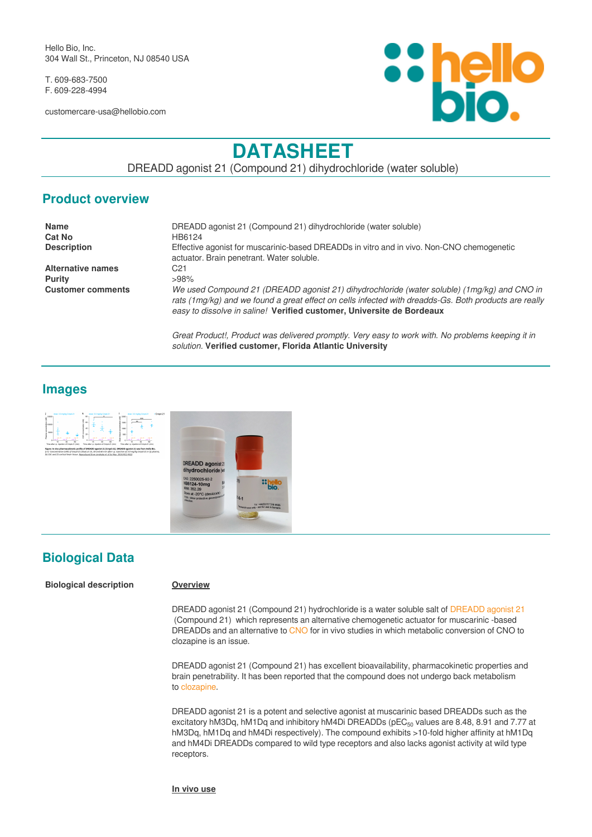Hello Bio, Inc. 304 Wall St., Princeton, NJ 08540 USA

T. 609-683-7500 F. 609-228-4994

customercare-usa@hellobio.com



# **DATASHEET**

DREADD agonist 21 (Compound 21) dihydrochloride (water soluble)

## **Product overview**

| DREADD agonist 21 (Compound 21) dihydrochloride (water soluble)                                                                                                                                                                                                               |
|-------------------------------------------------------------------------------------------------------------------------------------------------------------------------------------------------------------------------------------------------------------------------------|
| HB6124                                                                                                                                                                                                                                                                        |
| Effective agonist for muscarinic-based DREADDs in vitro and in vivo. Non-CNO chemogenetic                                                                                                                                                                                     |
| actuator. Brain penetrant. Water soluble.                                                                                                                                                                                                                                     |
| C21                                                                                                                                                                                                                                                                           |
| >98%                                                                                                                                                                                                                                                                          |
| We used Compound 21 (DREADD agonist 21) dihydrochloride (water soluble) (1mg/kg) and CNO in<br>rats (1mg/kg) and we found a great effect on cells infected with dreadds-Gs. Both products are really<br>easy to dissolve in saline! Verified customer, Universite de Bordeaux |
|                                                                                                                                                                                                                                                                               |

*Great Product!, Product was delivered promptly. Very easy to work with. No problems keeping it in solution.* **Verified customer, Florida Atlantic University**

## **Images**



## **Biological Data**

#### **Biological description Overview**

DREADD agonist 21 (Compound 21) hydrochloride is a water soluble salt of [DREADD agonist 21](https://hellobio.com/dreadd-agonist21.html) (Compound 21) which represents an alternative chemogenetic actuator for muscarinic -based DREADDs and an alternative to [CNO](https://hellobio.com/clozapine-n-oxide-dihydrochloride.html) for in vivo studies in which metabolic conversion of CNO to clozapine is an issue.

DREADD agonist 21 (Compound 21) has excellent bioavailability, pharmacokinetic properties and brain penetrability. It has been reported that the compound does not undergo back metabolism to [clozapine](https://hellobio.com/clozapine.html).

DREADD agonist 21 is a potent and selective agonist at muscarinic based DREADDs such as the excitatory hM3Dq, hM1Dq and inhibitory hM4Di DREADDs ( $pEC_{50}$  values are 8.48, 8.91 and 7.77 at hM3Dq, hM1Dq and hM4Di respectively). The compound exhibits >10-fold higher affinity at hM1Dq and hM4Di DREADDs compared to wild type receptors and also lacks agonist activity at wild type receptors.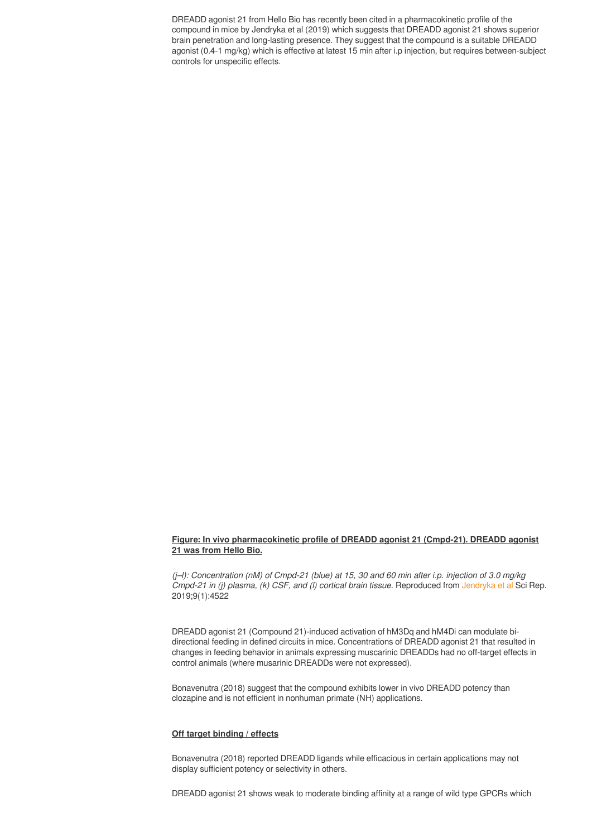DREADD agonist 21 from Hello Bio has recently been cited in a pharmacokinetic profile of the compound in mice by Jendryka et al (2019) which suggests that DREADD agonist 21 shows superior brain penetration and long-lasting presence. They suggest that the compound is a suitable DREADD agonist (0.4-1 mg/kg) which is effective at latest 15 min after i.p injection, but requires between-subject controls for unspecific effects.

#### **Figure: In vivo pharmacokinetic profile of DREADD agonist 21 (Cmpd-21). DREADD agonist 21 was from Hello Bio.**

*(j–l): Concentration (nM) of Cmpd-21 (blue) at 15, 30 and 60 min after i.p. injection of 3.0 mg/kg Cmpd-21 in (i) plasma, (k) CSF, and (l) cortical brain tissue.* Reproduced from [Jendryka et al](https://www.ncbi.nlm.nih.gov/pubmed/30872749) Sci Rep. 2019;9(1):4522

DREADD agonist 21 (Compound 21)-induced activation of hM3Dq and hM4Di can modulate bidirectional feeding in defined circuits in mice. Concentrations of DREADD agonist 21 that resulted in changes in feeding behavior in animals expressing muscarinic DREADDs had no off-target effects in control animals (where musarinic DREADDs were not expressed).

Bonavenutra (2018) suggest that the compound exhibits lower in vivo DREADD potency than clozapine and is not efficient in nonhuman primate (NH) applications.

#### **Off target binding / effects**

Bonavenutra (2018) reported DREADD ligands while efficacious in certain applications may not display sufficient potency or selectivity in others.

DREADD agonist 21 shows weak to moderate binding affinity at a range of wild type GPCRs which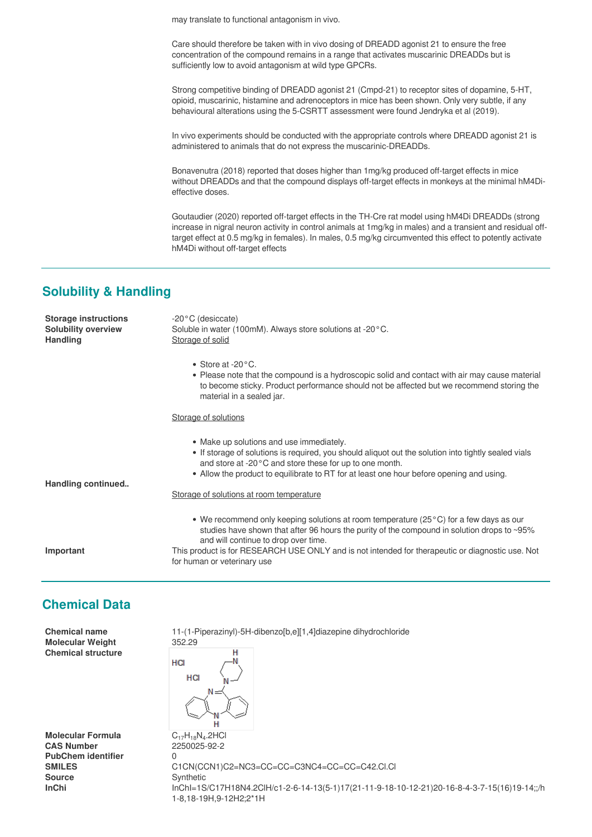may translate to functional antagonism in vivo.

Care should therefore be taken with in vivo dosing of DREADD agonist 21 to ensure the free concentration of the compound remains in a range that activates muscarinic DREADDs but is sufficiently low to avoid antagonism at wild type GPCRs.

Strong competitive binding of DREADD agonist 21 (Cmpd-21) to receptor sites of dopamine, 5-HT, opioid, muscarinic, histamine and adrenoceptors in mice has been shown. Only very subtle, if any behavioural alterations using the 5-CSRTT assessment were found Jendryka et al (2019).

In vivo experiments should be conducted with the appropriate controls where DREADD agonist 21 is administered to animals that do not express the muscarinic-DREADDs.

Bonavenutra (2018) reported that doses higher than 1mg/kg produced off-target effects in mice without DREADDs and that the compound displays off-target effects in monkeys at the minimal hM4Dieffective doses.

Goutaudier (2020) reported off-target effects in the TH-Cre rat model using hM4Di DREADDs (strong increase in nigral neuron activity in control animals at 1mg/kg in males) and a transient and residual offtarget effect at 0.5 mg/kg in females). In males, 0.5 mg/kg circumvented this effect to potently activate hM4Di without off-target effects

## **Solubility & Handling**

| <b>Storage instructions</b><br><b>Solubility overview</b><br><b>Handling</b> | $-20$ °C (desiccate)<br>Soluble in water (100mM). Always store solutions at -20°C.<br>Storage of solid                                                                                                                                                                                                  |
|------------------------------------------------------------------------------|---------------------------------------------------------------------------------------------------------------------------------------------------------------------------------------------------------------------------------------------------------------------------------------------------------|
|                                                                              | • Store at -20 $^{\circ}$ C.<br>• Please note that the compound is a hydroscopic solid and contact with air may cause material<br>to become sticky. Product performance should not be affected but we recommend storing the<br>material in a sealed jar.                                                |
|                                                                              | Storage of solutions                                                                                                                                                                                                                                                                                    |
|                                                                              | • Make up solutions and use immediately.<br>. If storage of solutions is required, you should aliquot out the solution into tightly sealed vials<br>and store at -20°C and store these for up to one month.<br>• Allow the product to equilibrate to RT for at least one hour before opening and using. |
| Handling continued                                                           | Storage of solutions at room temperature                                                                                                                                                                                                                                                                |
|                                                                              | • We recommend only keeping solutions at room temperature ( $25^{\circ}$ C) for a few days as our<br>studies have shown that after 96 hours the purity of the compound in solution drops to ~95%<br>and will continue to drop over time.                                                                |
| Important                                                                    | This product is for RESEARCH USE ONLY and is not intended for therapeutic or diagnostic use. Not<br>for human or veterinary use                                                                                                                                                                         |
| <b>Chemical Data</b>                                                         |                                                                                                                                                                                                                                                                                                         |
| <b>Chemical name</b>                                                         | 11-(1-Piperazinyl)-5H-dibenzo[b,e][1,4]diazepine dihydrochloride                                                                                                                                                                                                                                        |

**Molecular Weight** 352.29 **Chemical structure**

**Molecular Formula<br>CAS Number PubChem identifier** 0 **Source** Synthetic<br> **Synthetic**<br>  $lnChI = 1S$ 



 $C_{17}H_{18}N_4.2HCl$ **CAS Number** 2250025-92-2 **SMILES** C1CN(CCN1)C2=NC3=CC=CC=C3NC4=CC=CC=C42.Cl.Cl **InChi** InChI=1S/C17H18N4.2ClH/c1-2-6-14-13(5-1)17(21-11-9-18-10-12-21)20-16-8-4-3-7-15(16)19-14;;/h 1-8,18-19H,9-12H2;2\*1H